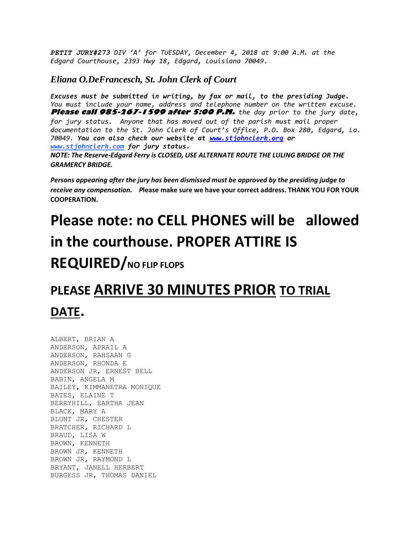*PETIT JURY#273 DIV 'A' for TUESDAY, December 4, 2018 at 9:00 A.M. at the Edgard Courthouse, 2393 Hwy 18, Edgard, Louisiana 70049.*

## *Eliana O.DeFrancesch, St. John Clerk of Court*

*Excuses must be submitted in writing, by fax or mail, to the presiding Judge. You must include your name, address and telephone number on the written excuse.* **Please call 985-267-1599 after 5:00 P.M.** *the day prior to the jury date, for jury status. Anyone that has moved out of the parish must mail proper documentation to the St. John Clerk of Court's Office, P.O. Box 280, Edgard, La. 70049. You can also check our website at [www.stjohnclerk.org](http://www.stjohnclerk.org/) or www.stjohnclerk.com for jury status. NOTE: The Reserve-Edgard Ferry is CLOSED, USE ALTERNATE ROUTE THE LULING BRIDGE OR THE GRAMERCY BRIDGE.*

*Persons appearing after the jury has been dismissed must be approved by the presiding judge to receive any compensation. P***lease make sure we have your correct address. THANK YOU FOR YOUR COOPERATION.**

## **Please note: no CELL PHONES will be allowed in the courthouse. PROPER ATTIRE IS**

## **REQUIRED/NO FLIP FLOPS**

## **PLEASE ARRIVE 30 MINUTES PRIOR TO TRIAL DATE.**

ALBERT, BRIAN A ANDERSON, APRAIL A ANDERSON, RAHSAAN G ANDERSON, RHONDA E ANDERSON JR, ERNEST BELL BABIN, ANGELA M BAILEY, KIMMANETRA MONIQUE BATES, ELAINE T BERRYHILL, EARTHA JEAN BLACK, MARY A BLUNT JR, CHESTER BRATCHER, RICHARD L BRAUD, LISA W BROWN, KENNETH BROWN JR, KENNETH BROWN JR, RAYMOND L BRYANT, JANELL HERBERT BURGESS JR, THOMAS DANIEL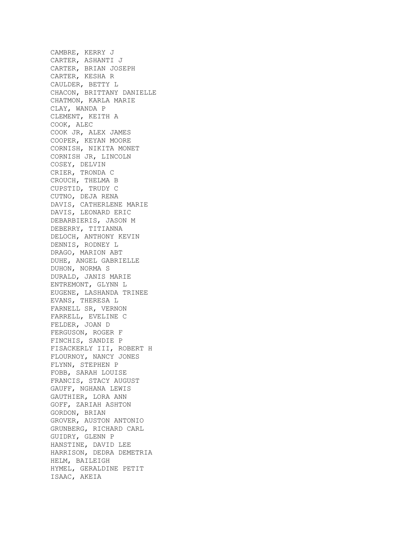CAMBRE, KERRY J CARTER, ASHANTI J CARTER, BRIAN JOSEPH CARTER, KESHA R CAULDER, BETTY L CHACON, BRITTANY DANIELLE CHATMON, KARLA MARIE CLAY, WANDA P CLEMENT, KEITH A COOK, ALEC COOK JR, ALEX JAMES COOPER, KEYAN MOORE CORNISH, NIKITA MONET CORNISH JR, LINCOLN COSEY, DELVIN CRIER, TRONDA C CROUCH, THELMA B CUPSTID, TRUDY C CUTNO, DEJA RENA DAVIS, CATHERLENE MARIE DAVIS, LEONARD ERIC DEBARBIERIS, JASON M DEBERRY, TITIANNA DELOCH, ANTHONY KEVIN DENNIS, RODNEY L DRAGO, MARION ABT DUHE, ANGEL GABRIELLE DUHON, NORMA S DURALD, JANIS MARIE ENTREMONT, GLYNN L EUGENE, LASHANDA TRINEE EVANS, THERESA L FARNELL SR, VERNON FARRELL, EVELINE C FELDER, JOAN D FERGUSON, ROGER F FINCHIS, SANDIE P FISACKERLY III, ROBERT H FLOURNOY, NANCY JONES FLYNN, STEPHEN P FOBB, SARAH LOUISE FRANCIS, STACY AUGUST GAUFF, NGHANA LEWIS GAUTHIER, LORA ANN GOFF, ZARIAH ASHTON GORDON, BRIAN GROVER, AUSTON ANTONIO GRUNBERG, RICHARD CARL GUIDRY, GLENN P HANSTINE, DAVID LEE HARRISON, DEDRA DEMETRIA HELM, BAILEIGH HYMEL, GERALDINE PETIT ISAAC, AKEIA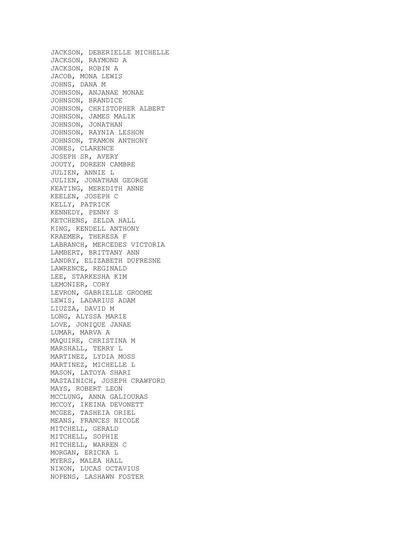JACKSON, DEBERIELLE MICHELLE JACKSON, RAYMOND A JACKSON, ROBIN A JACOB, MONA LEWIS JOHNS, DANA M JOHNSON, ANJANAE MONAE JOHNSON, BRANDICE JOHNSON, CHRISTOPHER ALBERT JOHNSON, JAMES MALIK JOHNSON, JONATHAN JOHNSON, RAYNIA LESHON JOHNSON, TRAMON ANTHONY JONES, CLARENCE JOSEPH SR, AVERY JOUTY, DOREEN CAMBRE JULIEN, ANNIE L JULIEN, JONATHAN GEORGE KEATING, MEREDITH ANNE KEELEN, JOSEPH C KELLY, PATRICK KENNEDY, PENNY S KETCHENS, ZELDA HALL KING, KENDELL ANTHONY KRAEMER, THERESA F LABRANCH, MERCEDES VICTORIA LAMBERT, BRITTANY ANN LANDRY, ELIZABETH DUFRESNE LAWRENCE, REGINALD LEE, STARKESHA KIM LEMONIER, CORY LEVRON, GABRIELLE GROOME LEWIS, LADARIUS ADAM LIUZZA, DAVID M LONG, ALYSSA MARIE LOVE, JONIQUE JANAE LUMAR, MARVA A MAQUIRE, CHRISTINA M MARSHALL, TERRY L MARTINEZ, LYDIA MOSS MARTINEZ, MICHELLE L MASON, LATOYA SHARI MASTAINICH, JOSEPH CRAWFORD MAYS, ROBERT LEON MCCLUNG, ANNA GALIOURAS MCCOY, IKEINA DEVONETT MCGEE, TASHEIA ORIEL MEANS, FRANCES NICOLE MITCHELL, GERALD MITCHELL, SOPHIE MITCHELL, WARREN C MORGAN, ERICKA L MYERS, MALEA HALL NIXON, LUCAS OCTAVIUS NOPENS, LASHAWN FOSTER